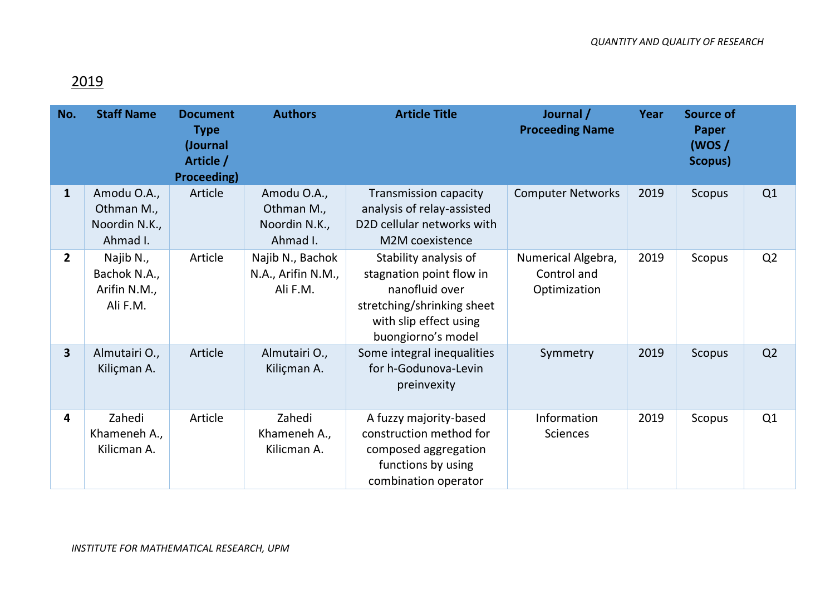## 2019

| No.                     | <b>Staff Name</b>                                      | <b>Document</b><br><b>Type</b><br>(Journal<br>Article /<br><b>Proceeding)</b> | <b>Authors</b>                                         | <b>Article Title</b>                                                                                                                              | Journal /<br><b>Proceeding Name</b>               | Year | <b>Source of</b><br><b>Paper</b><br>(WOS/<br>Scopus) |                |
|-------------------------|--------------------------------------------------------|-------------------------------------------------------------------------------|--------------------------------------------------------|---------------------------------------------------------------------------------------------------------------------------------------------------|---------------------------------------------------|------|------------------------------------------------------|----------------|
| $\mathbf{1}$            | Amodu O.A.,<br>Othman M.,<br>Noordin N.K.,<br>Ahmad I. | Article                                                                       | Amodu O.A.,<br>Othman M.,<br>Noordin N.K.,<br>Ahmad I. | <b>Transmission capacity</b><br>analysis of relay-assisted<br>D2D cellular networks with<br>M2M coexistence                                       | <b>Computer Networks</b>                          | 2019 | Scopus                                               | Q1             |
| $\overline{2}$          | Najib N.,<br>Bachok N.A.,<br>Arifin N.M.,<br>Ali F.M.  | Article                                                                       | Najib N., Bachok<br>N.A., Arifin N.M.,<br>Ali F.M.     | Stability analysis of<br>stagnation point flow in<br>nanofluid over<br>stretching/shrinking sheet<br>with slip effect using<br>buongiorno's model | Numerical Algebra,<br>Control and<br>Optimization | 2019 | Scopus                                               | Q <sub>2</sub> |
| $\overline{\mathbf{3}}$ | Almutairi O.,<br>Kiliçman A.                           | Article                                                                       | Almutairi O.,<br>Kiliçman A.                           | Some integral inequalities<br>for h-Godunova-Levin<br>preinvexity                                                                                 | Symmetry                                          | 2019 | Scopus                                               | Q <sub>2</sub> |
| 4                       | Zahedi<br>Khameneh A.,<br>Kilicman A.                  | Article                                                                       | Zahedi<br>Khameneh A.,<br>Kilicman A.                  | A fuzzy majority-based<br>construction method for<br>composed aggregation<br>functions by using<br>combination operator                           | Information<br><b>Sciences</b>                    | 2019 | Scopus                                               | Q1             |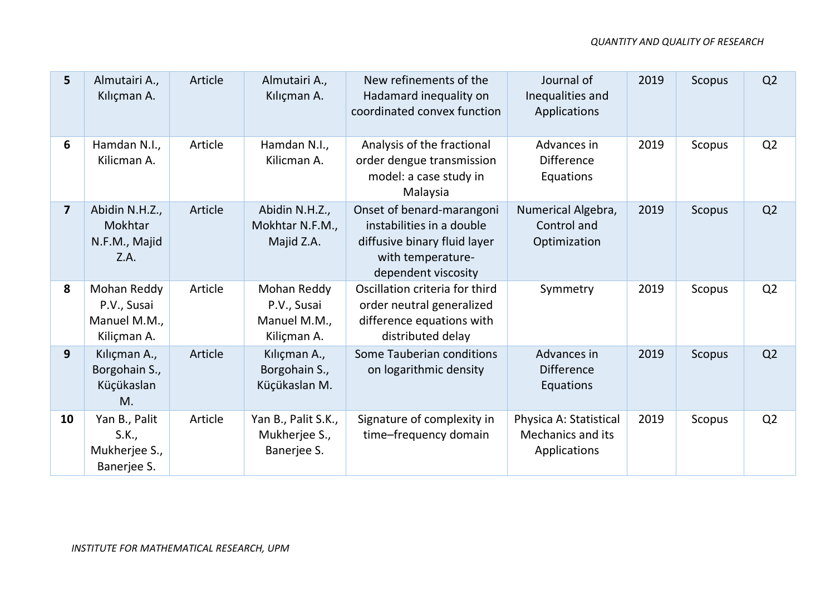| 5              | Almutairi A.,<br>Kılıçman A.                              | Article | Almutairi A.,<br>Kılıçman A.                              | New refinements of the<br>Hadamard inequality on<br>coordinated convex function                                                    | Journal of<br>Inequalities and<br>Applications              | 2019 | <b>Scopus</b> | Q <sub>2</sub> |
|----------------|-----------------------------------------------------------|---------|-----------------------------------------------------------|------------------------------------------------------------------------------------------------------------------------------------|-------------------------------------------------------------|------|---------------|----------------|
| 6              | Hamdan N.I.,<br>Kilicman A.                               | Article | Hamdan N.I.,<br>Kilicman A.                               | Analysis of the fractional<br>order dengue transmission<br>model: a case study in<br>Malaysia                                      | Advances in<br><b>Difference</b><br>Equations               | 2019 | Scopus        | Q2             |
| $\overline{7}$ | Abidin N.H.Z.,<br>Mokhtar<br>N.F.M., Majid<br>Z.A.        | Article | Abidin N.H.Z.,<br>Mokhtar N.F.M.,<br>Majid Z.A.           | Onset of benard-marangoni<br>instabilities in a double<br>diffusive binary fluid layer<br>with temperature-<br>dependent viscosity | Numerical Algebra,<br>Control and<br>Optimization           | 2019 | Scopus        | Q2             |
| 8              | Mohan Reddy<br>P.V., Susai<br>Manuel M.M.,<br>Kiliçman A. | Article | Mohan Reddy<br>P.V., Susai<br>Manuel M.M.,<br>Kiliçman A. | Oscillation criteria for third<br>order neutral generalized<br>difference equations with<br>distributed delay                      | Symmetry                                                    | 2019 | Scopus        | Q2             |
| 9              | Kılıçman A.,<br>Borgohain S.,<br>Küçükaslan<br>M.         | Article | Kılıçman A.,<br>Borgohain S.,<br>Küçükaslan M.            | Some Tauberian conditions<br>on logarithmic density                                                                                | Advances in<br><b>Difference</b><br>Equations               | 2019 | Scopus        | Q <sub>2</sub> |
| 10             | Yan B., Palit<br>S.K.,<br>Mukherjee S.,<br>Banerjee S.    | Article | Yan B., Palit S.K.,<br>Mukherjee S.,<br>Banerjee S.       | Signature of complexity in<br>time-frequency domain                                                                                | Physica A: Statistical<br>Mechanics and its<br>Applications | 2019 | Scopus        | Q <sub>2</sub> |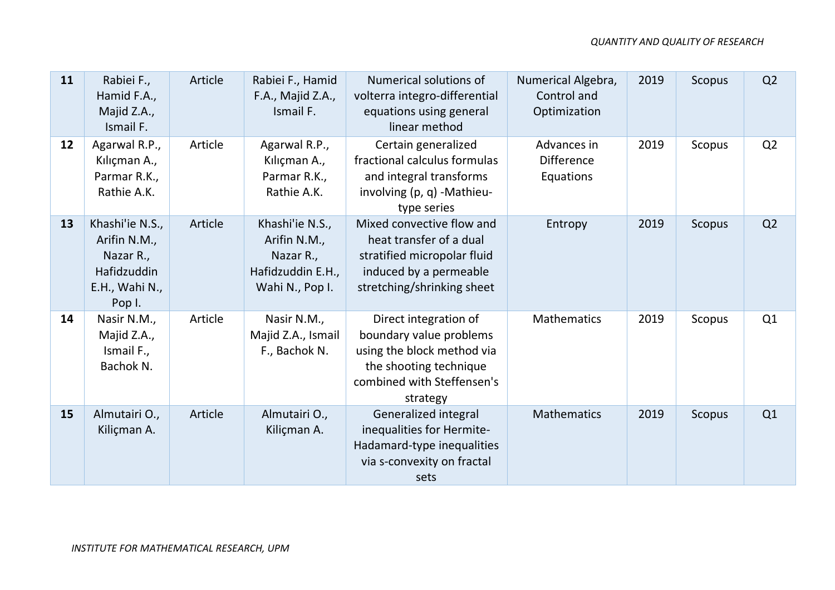| 11 | Rabiei F.,<br>Hamid F.A.,<br>Majid Z.A.,<br>Ismail F.                                   | Article | Rabiei F., Hamid<br>F.A., Majid Z.A.,<br>Ismail F.                                   | Numerical solutions of<br>volterra integro-differential<br>equations using general<br>linear method                                                | Numerical Algebra,<br>Control and<br>Optimization | 2019 | Scopus        | Q <sub>2</sub> |
|----|-----------------------------------------------------------------------------------------|---------|--------------------------------------------------------------------------------------|----------------------------------------------------------------------------------------------------------------------------------------------------|---------------------------------------------------|------|---------------|----------------|
| 12 | Agarwal R.P.,<br>Kılıçman A.,<br>Parmar R.K.,<br>Rathie A.K.                            | Article | Agarwal R.P.,<br>Kılıçman A.,<br>Parmar R.K.,<br>Rathie A.K.                         | Certain generalized<br>fractional calculus formulas<br>and integral transforms<br>involving (p, q) -Mathieu-<br>type series                        | Advances in<br><b>Difference</b><br>Equations     | 2019 | Scopus        | Q2             |
| 13 | Khashi'ie N.S.,<br>Arifin N.M.,<br>Nazar R.,<br>Hafidzuddin<br>E.H., Wahi N.,<br>Pop I. | Article | Khashi'ie N.S.,<br>Arifin N.M.,<br>Nazar R.,<br>Hafidzuddin E.H.,<br>Wahi N., Pop I. | Mixed convective flow and<br>heat transfer of a dual<br>stratified micropolar fluid<br>induced by a permeable<br>stretching/shrinking sheet        | Entropy                                           | 2019 | Scopus        | Q <sub>2</sub> |
| 14 | Nasir N.M.,<br>Majid Z.A.,<br>Ismail F.,<br>Bachok N.                                   | Article | Nasir N.M.,<br>Majid Z.A., Ismail<br>F., Bachok N.                                   | Direct integration of<br>boundary value problems<br>using the block method via<br>the shooting technique<br>combined with Steffensen's<br>strategy | <b>Mathematics</b>                                | 2019 | Scopus        | Q1             |
| 15 | Almutairi O.,<br>Kiliçman A.                                                            | Article | Almutairi O.,<br>Kiliçman A.                                                         | Generalized integral<br>inequalities for Hermite-<br>Hadamard-type inequalities<br>via s-convexity on fractal<br>sets                              | <b>Mathematics</b>                                | 2019 | <b>Scopus</b> | Q1             |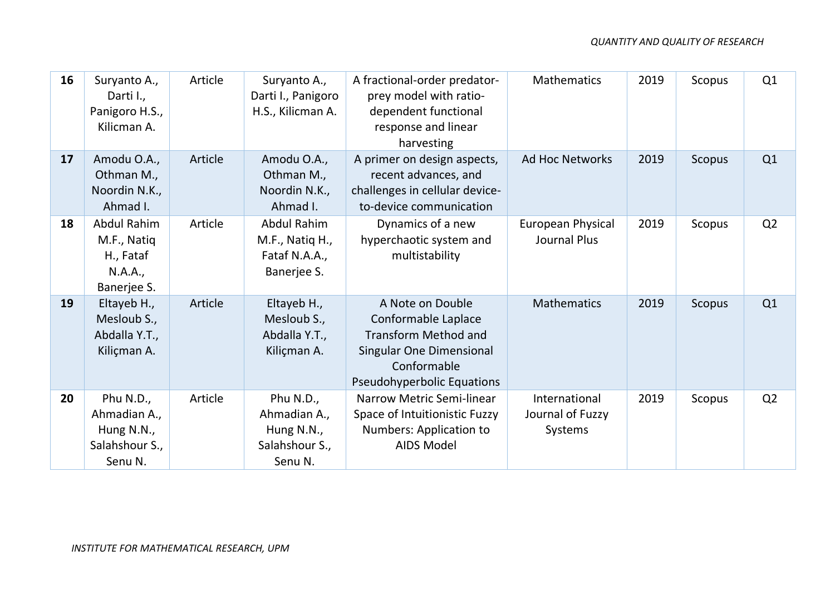| 16 | Suryanto A.,<br>Darti I.,<br>Panigoro H.S.,<br>Kilicman A.               | Article | Suryanto A.,<br>Darti I., Panigoro<br>H.S., Kilicman A.               | A fractional-order predator-<br>prey model with ratio-<br>dependent functional<br>response and linear<br>harvesting                                    | <b>Mathematics</b>                           | 2019 | Scopus | Q1             |
|----|--------------------------------------------------------------------------|---------|-----------------------------------------------------------------------|--------------------------------------------------------------------------------------------------------------------------------------------------------|----------------------------------------------|------|--------|----------------|
| 17 | Amodu O.A.,<br>Othman M.,<br>Noordin N.K.,<br>Ahmad I.                   | Article | Amodu O.A.,<br>Othman M.,<br>Noordin N.K.,<br>Ahmad I.                | A primer on design aspects,<br>recent advances, and<br>challenges in cellular device-<br>to-device communication                                       | <b>Ad Hoc Networks</b>                       | 2019 | Scopus | Q1             |
| 18 | <b>Abdul Rahim</b><br>M.F., Natiq<br>H., Fataf<br>N.A.A.,<br>Banerjee S. | Article | <b>Abdul Rahim</b><br>M.F., Natiq H.,<br>Fataf N.A.A.,<br>Banerjee S. | Dynamics of a new<br>hyperchaotic system and<br>multistability                                                                                         | <b>European Physical</b><br>Journal Plus     | 2019 | Scopus | Q <sub>2</sub> |
| 19 | Eltayeb H.,<br>Mesloub S.,<br>Abdalla Y.T.,<br>Kiliçman A.               | Article | Eltayeb H.,<br>Mesloub S.,<br>Abdalla Y.T.,<br>Kiliçman A.            | A Note on Double<br>Conformable Laplace<br><b>Transform Method and</b><br>Singular One Dimensional<br>Conformable<br><b>Pseudohyperbolic Equations</b> | <b>Mathematics</b>                           | 2019 | Scopus | Q1             |
| 20 | Phu N.D.,<br>Ahmadian A.,<br>Hung N.N.,<br>Salahshour S.,<br>Senu N.     | Article | Phu N.D.,<br>Ahmadian A.,<br>Hung N.N.,<br>Salahshour S.,<br>Senu N.  | Narrow Metric Semi-linear<br>Space of Intuitionistic Fuzzy<br>Numbers: Application to<br><b>AIDS Model</b>                                             | International<br>Journal of Fuzzy<br>Systems | 2019 | Scopus | Q <sub>2</sub> |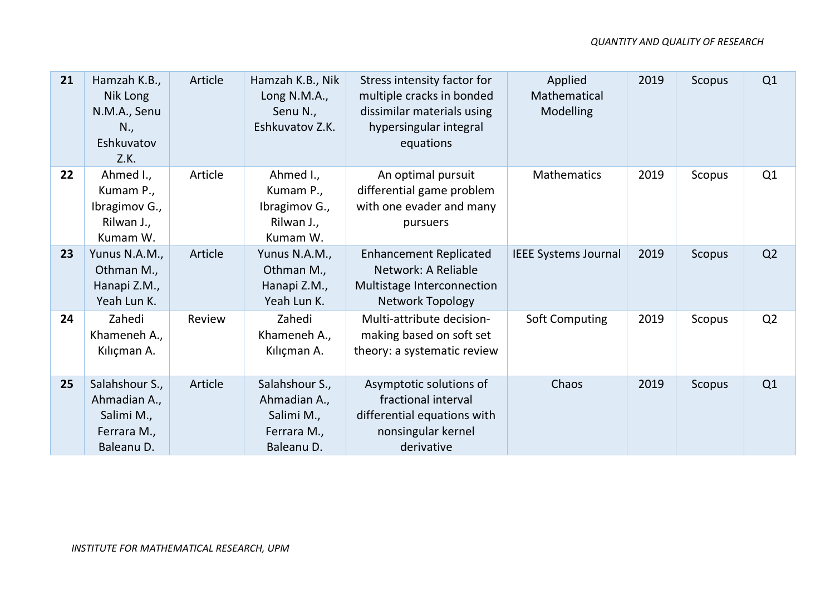| 21 | Hamzah K.B.,<br>Nik Long<br>N.M.A., Senu<br>N.,<br>Eshkuvatov<br>Z.K.     | Article | Hamzah K.B., Nik<br>Long N.M.A.,<br>Senu N.,<br>Eshkuvatov Z.K.           | Stress intensity factor for<br>multiple cracks in bonded<br>dissimilar materials using<br>hypersingular integral<br>equations | Applied<br>Mathematical<br><b>Modelling</b> | 2019 | Scopus | Q1             |
|----|---------------------------------------------------------------------------|---------|---------------------------------------------------------------------------|-------------------------------------------------------------------------------------------------------------------------------|---------------------------------------------|------|--------|----------------|
| 22 | Ahmed I.,<br>Kumam P.,<br>Ibragimov G.,<br>Rilwan J.,<br>Kumam W.         | Article | Ahmed I.,<br>Kumam P.,<br>Ibragimov G.,<br>Rilwan J.,<br>Kumam W.         | An optimal pursuit<br>differential game problem<br>with one evader and many<br>pursuers                                       | <b>Mathematics</b>                          | 2019 | Scopus | Q1             |
| 23 | Yunus N.A.M.,<br>Othman M.,<br>Hanapi Z.M.,<br>Yeah Lun K.                | Article | Yunus N.A.M.,<br>Othman M.,<br>Hanapi Z.M.,<br>Yeah Lun K.                | <b>Enhancement Replicated</b><br>Network: A Reliable<br>Multistage Interconnection<br><b>Network Topology</b>                 | <b>IEEE Systems Journal</b>                 | 2019 | Scopus | Q <sub>2</sub> |
| 24 | Zahedi<br>Khameneh A.,<br>Kılıçman A.                                     | Review  | Zahedi<br>Khameneh A.,<br>Kılıçman A.                                     | Multi-attribute decision-<br>making based on soft set<br>theory: a systematic review                                          | <b>Soft Computing</b>                       | 2019 | Scopus | Q <sub>2</sub> |
| 25 | Salahshour S.,<br>Ahmadian A.,<br>Salimi M.,<br>Ferrara M.,<br>Baleanu D. | Article | Salahshour S.,<br>Ahmadian A.,<br>Salimi M.,<br>Ferrara M.,<br>Baleanu D. | Asymptotic solutions of<br>fractional interval<br>differential equations with<br>nonsingular kernel<br>derivative             | Chaos                                       | 2019 | Scopus | Q1             |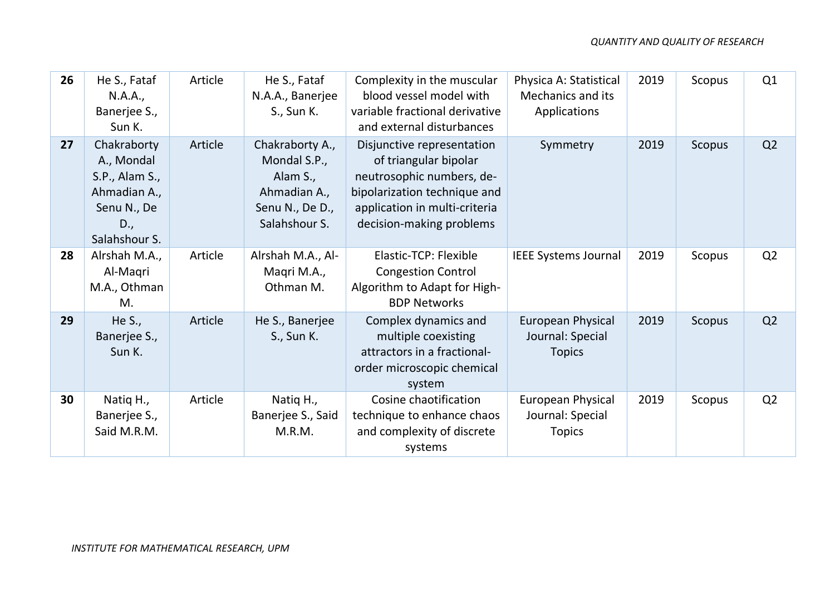| 26 | He S., Fataf<br>N.A.A.,<br>Banerjee S.,<br>Sun K.                                                  | Article | He S., Fataf<br>N.A.A., Banerjee<br>S., Sun K.                                                  | Complexity in the muscular<br>blood vessel model with<br>variable fractional derivative<br>and external disturbances                                                          | Physica A: Statistical<br><b>Mechanics and its</b><br>Applications | 2019 | Scopus | Q1 |
|----|----------------------------------------------------------------------------------------------------|---------|-------------------------------------------------------------------------------------------------|-------------------------------------------------------------------------------------------------------------------------------------------------------------------------------|--------------------------------------------------------------------|------|--------|----|
| 27 | Chakraborty<br>A., Mondal<br>S.P., Alam S.,<br>Ahmadian A.,<br>Senu N., De<br>D.,<br>Salahshour S. | Article | Chakraborty A.,<br>Mondal S.P.,<br>Alam S.,<br>Ahmadian A.,<br>Senu N., De D.,<br>Salahshour S. | Disjunctive representation<br>of triangular bipolar<br>neutrosophic numbers, de-<br>bipolarization technique and<br>application in multi-criteria<br>decision-making problems | Symmetry                                                           | 2019 | Scopus | Q2 |
| 28 | Alrshah M.A.,<br>Al-Magri<br>M.A., Othman<br>M.                                                    | Article | Alrshah M.A., Al-<br>Maqri M.A.,<br>Othman M.                                                   | <b>Elastic-TCP: Flexible</b><br><b>Congestion Control</b><br>Algorithm to Adapt for High-<br><b>BDP Networks</b>                                                              | <b>IEEE Systems Journal</b>                                        | 2019 | Scopus | Q2 |
| 29 | He S.,<br>Banerjee S.,<br>Sun K.                                                                   | Article | He S., Banerjee<br>S., Sun K.                                                                   | Complex dynamics and<br>multiple coexisting<br>attractors in a fractional-<br>order microscopic chemical<br>system                                                            | <b>European Physical</b><br>Journal: Special<br><b>Topics</b>      | 2019 | Scopus | Q2 |
| 30 | Natiq H.,<br>Banerjee S.,<br>Said M.R.M.                                                           | Article | Natiq H.,<br>Banerjee S., Said<br>M.R.M.                                                        | Cosine chaotification<br>technique to enhance chaos<br>and complexity of discrete<br>systems                                                                                  | <b>European Physical</b><br>Journal: Special<br><b>Topics</b>      | 2019 | Scopus | Q2 |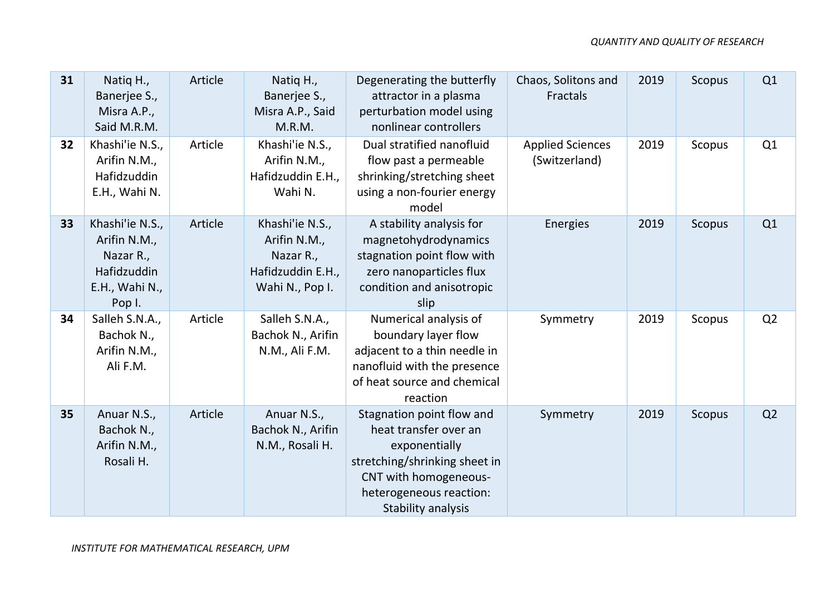| 31 | Natiq H.,<br>Banerjee S.,<br>Misra A.P.,<br>Said M.R.M.                                 | Article | Natiq H.,<br>Banerjee S.,<br>Misra A.P., Said<br>M.R.M.                              | Degenerating the butterfly<br>attractor in a plasma<br>perturbation model using<br>nonlinear controllers                                                                       | Chaos, Solitons and<br><b>Fractals</b>   | 2019 | <b>Scopus</b> | Q1             |
|----|-----------------------------------------------------------------------------------------|---------|--------------------------------------------------------------------------------------|--------------------------------------------------------------------------------------------------------------------------------------------------------------------------------|------------------------------------------|------|---------------|----------------|
| 32 | Khashi'ie N.S.,<br>Arifin N.M.,<br>Hafidzuddin<br>E.H., Wahi N.                         | Article | Khashi'ie N.S.,<br>Arifin N.M.,<br>Hafidzuddin E.H.,<br>Wahi N.                      | Dual stratified nanofluid<br>flow past a permeable<br>shrinking/stretching sheet<br>using a non-fourier energy<br>model                                                        | <b>Applied Sciences</b><br>(Switzerland) | 2019 | Scopus        | Q1             |
| 33 | Khashi'ie N.S.,<br>Arifin N.M.,<br>Nazar R.,<br>Hafidzuddin<br>E.H., Wahi N.,<br>Pop I. | Article | Khashi'ie N.S.,<br>Arifin N.M.,<br>Nazar R.,<br>Hafidzuddin E.H.,<br>Wahi N., Pop I. | A stability analysis for<br>magnetohydrodynamics<br>stagnation point flow with<br>zero nanoparticles flux<br>condition and anisotropic<br>slip                                 | <b>Energies</b>                          | 2019 | <b>Scopus</b> | Q1             |
| 34 | Salleh S.N.A.,<br>Bachok N.,<br>Arifin N.M.,<br>Ali F.M.                                | Article | Salleh S.N.A.,<br>Bachok N., Arifin<br>N.M., Ali F.M.                                | Numerical analysis of<br>boundary layer flow<br>adjacent to a thin needle in<br>nanofluid with the presence<br>of heat source and chemical<br>reaction                         | Symmetry                                 | 2019 | Scopus        | Q2             |
| 35 | Anuar N.S.,<br>Bachok N.,<br>Arifin N.M.,<br>Rosali H.                                  | Article | Anuar N.S.,<br>Bachok N., Arifin<br>N.M., Rosali H.                                  | Stagnation point flow and<br>heat transfer over an<br>exponentially<br>stretching/shrinking sheet in<br>CNT with homogeneous-<br>heterogeneous reaction:<br>Stability analysis | Symmetry                                 | 2019 | <b>Scopus</b> | Q <sub>2</sub> |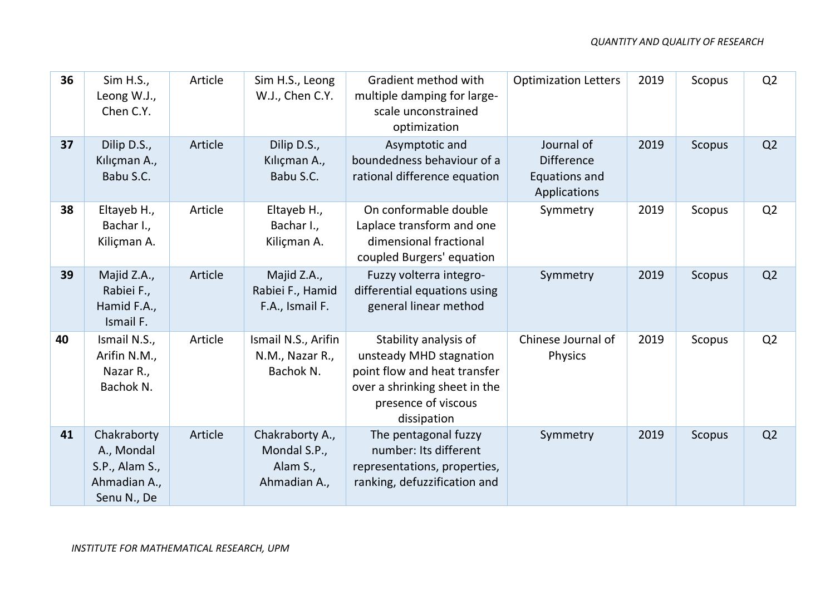| 36 | Sim H.S.,<br>Leong W.J.,<br>Chen C.Y.                                      | Article | Sim H.S., Leong<br>W.J., Chen C.Y.                          | Gradient method with<br>multiple damping for large-<br>scale unconstrained<br>optimization                                                              | <b>Optimization Letters</b>                                      | 2019 | Scopus        | Q <sub>2</sub> |
|----|----------------------------------------------------------------------------|---------|-------------------------------------------------------------|---------------------------------------------------------------------------------------------------------------------------------------------------------|------------------------------------------------------------------|------|---------------|----------------|
| 37 | Dilip D.S.,<br>Kılıçman A.,<br>Babu S.C.                                   | Article | Dilip D.S.,<br>Kılıçman A.,<br>Babu S.C.                    | Asymptotic and<br>boundedness behaviour of a<br>rational difference equation                                                                            | Journal of<br><b>Difference</b><br>Equations and<br>Applications | 2019 | Scopus        | Q2             |
| 38 | Eltayeb H.,<br>Bachar I.,<br>Kiliçman A.                                   | Article | Eltayeb H.,<br>Bachar I.,<br>Kiliçman A.                    | On conformable double<br>Laplace transform and one<br>dimensional fractional<br>coupled Burgers' equation                                               | Symmetry                                                         | 2019 | Scopus        | Q2             |
| 39 | Majid Z.A.,<br>Rabiei F.,<br>Hamid F.A.,<br>Ismail F.                      | Article | Majid Z.A.,<br>Rabiei F., Hamid<br>F.A., Ismail F.          | Fuzzy volterra integro-<br>differential equations using<br>general linear method                                                                        | Symmetry                                                         | 2019 | Scopus        | Q2             |
| 40 | Ismail N.S.,<br>Arifin N.M.,<br>Nazar R.,<br>Bachok N.                     | Article | Ismail N.S., Arifin<br>N.M., Nazar R.,<br>Bachok N.         | Stability analysis of<br>unsteady MHD stagnation<br>point flow and heat transfer<br>over a shrinking sheet in the<br>presence of viscous<br>dissipation | Chinese Journal of<br><b>Physics</b>                             | 2019 | Scopus        | Q2             |
| 41 | Chakraborty<br>A., Mondal<br>S.P., Alam S.,<br>Ahmadian A.,<br>Senu N., De | Article | Chakraborty A.,<br>Mondal S.P.,<br>Alam S.,<br>Ahmadian A., | The pentagonal fuzzy<br>number: Its different<br>representations, properties,<br>ranking, defuzzification and                                           | Symmetry                                                         | 2019 | <b>Scopus</b> | Q2             |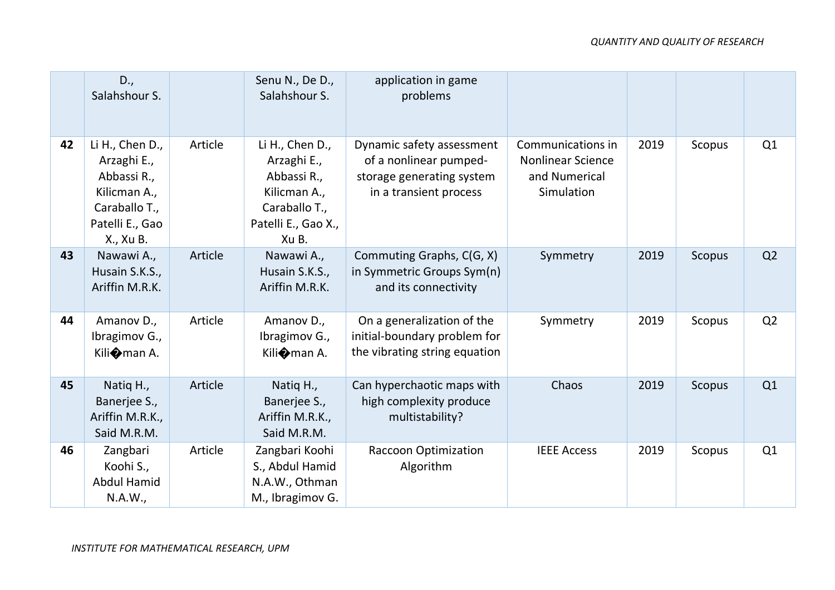|    | D.,<br>Salahshour S.                                                                                           |         | Senu N., De D.,<br>Salahshour S.                                                                               | application in game<br>problems                                                                            |                                                                              |      |        |                |
|----|----------------------------------------------------------------------------------------------------------------|---------|----------------------------------------------------------------------------------------------------------------|------------------------------------------------------------------------------------------------------------|------------------------------------------------------------------------------|------|--------|----------------|
| 42 | Li H., Chen D.,<br>Arzaghi E.,<br>Abbassi R.,<br>Kilicman A.,<br>Caraballo T.,<br>Patelli E., Gao<br>X., Xu B. | Article | Li H., Chen D.,<br>Arzaghi E.,<br>Abbassi R.,<br>Kilicman A.,<br>Caraballo T.,<br>Patelli E., Gao X.,<br>Xu B. | Dynamic safety assessment<br>of a nonlinear pumped-<br>storage generating system<br>in a transient process | Communications in<br><b>Nonlinear Science</b><br>and Numerical<br>Simulation | 2019 | Scopus | Q1             |
| 43 | Nawawi A.,<br>Husain S.K.S.,<br>Ariffin M.R.K.                                                                 | Article | Nawawi A.,<br>Husain S.K.S.,<br>Ariffin M.R.K.                                                                 | Commuting Graphs, C(G, X)<br>in Symmetric Groups Sym(n)<br>and its connectivity                            | Symmetry                                                                     | 2019 | Scopus | Q <sub>2</sub> |
| 44 | Amanov D.,<br>Ibragimov G.,<br>Kili $\bullet$ man A.                                                           | Article | Amanov D.,<br>Ibragimov G.,<br>Kili $\bullet$ man A.                                                           | On a generalization of the<br>initial-boundary problem for<br>the vibrating string equation                | Symmetry                                                                     | 2019 | Scopus | Q <sub>2</sub> |
| 45 | Natiq H.,<br>Banerjee S.,<br>Ariffin M.R.K.,<br>Said M.R.M.                                                    | Article | Natiq H.,<br>Banerjee S.,<br>Ariffin M.R.K.,<br>Said M.R.M.                                                    | Can hyperchaotic maps with<br>high complexity produce<br>multistability?                                   | Chaos                                                                        | 2019 | Scopus | Q1             |
| 46 | Zangbari<br>Koohi S.,<br><b>Abdul Hamid</b><br>N.A.W.,                                                         | Article | Zangbari Koohi<br>S., Abdul Hamid<br>N.A.W., Othman<br>M., Ibragimov G.                                        | Raccoon Optimization<br>Algorithm                                                                          | <b>IEEE Access</b>                                                           | 2019 | Scopus | Q1             |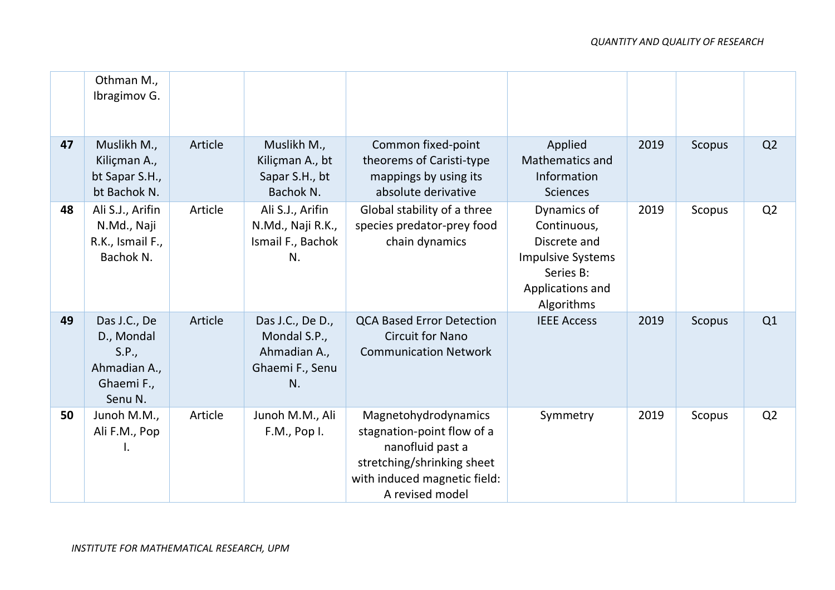|    | Othman M.,<br>Ibragimov G.                                                   |         |                                                                           |                                                                                                                                                         |                                                                                                                       |      |               |                |
|----|------------------------------------------------------------------------------|---------|---------------------------------------------------------------------------|---------------------------------------------------------------------------------------------------------------------------------------------------------|-----------------------------------------------------------------------------------------------------------------------|------|---------------|----------------|
| 47 | Muslikh M.,<br>Kiliçman A.,<br>bt Sapar S.H.,<br>bt Bachok N.                | Article | Muslikh M.,<br>Kiliçman A., bt<br>Sapar S.H., bt<br>Bachok N.             | Common fixed-point<br>theorems of Caristi-type<br>mappings by using its<br>absolute derivative                                                          | Applied<br><b>Mathematics and</b><br>Information<br><b>Sciences</b>                                                   | 2019 | <b>Scopus</b> | Q <sub>2</sub> |
| 48 | Ali S.J., Arifin<br>N.Md., Naji<br>R.K., Ismail F.,<br>Bachok N.             | Article | Ali S.J., Arifin<br>N.Md., Naji R.K.,<br>Ismail F., Bachok<br>N.          | Global stability of a three<br>species predator-prey food<br>chain dynamics                                                                             | Dynamics of<br>Continuous,<br>Discrete and<br><b>Impulsive Systems</b><br>Series B:<br>Applications and<br>Algorithms | 2019 | Scopus        | Q2             |
| 49 | Das J.C., De<br>D., Mondal<br>S.P.,<br>Ahmadian A.,<br>Ghaemi F.,<br>Senu N. | Article | Das J.C., De D.,<br>Mondal S.P.,<br>Ahmadian A.,<br>Ghaemi F., Senu<br>N. | <b>QCA Based Error Detection</b><br><b>Circuit for Nano</b><br><b>Communication Network</b>                                                             | <b>IEEE Access</b>                                                                                                    | 2019 | <b>Scopus</b> | Q1             |
| 50 | Junoh M.M.,<br>Ali F.M., Pop<br>I.                                           | Article | Junoh M.M., Ali<br>F.M., Pop I.                                           | Magnetohydrodynamics<br>stagnation-point flow of a<br>nanofluid past a<br>stretching/shrinking sheet<br>with induced magnetic field:<br>A revised model | Symmetry                                                                                                              | 2019 | Scopus        | Q2             |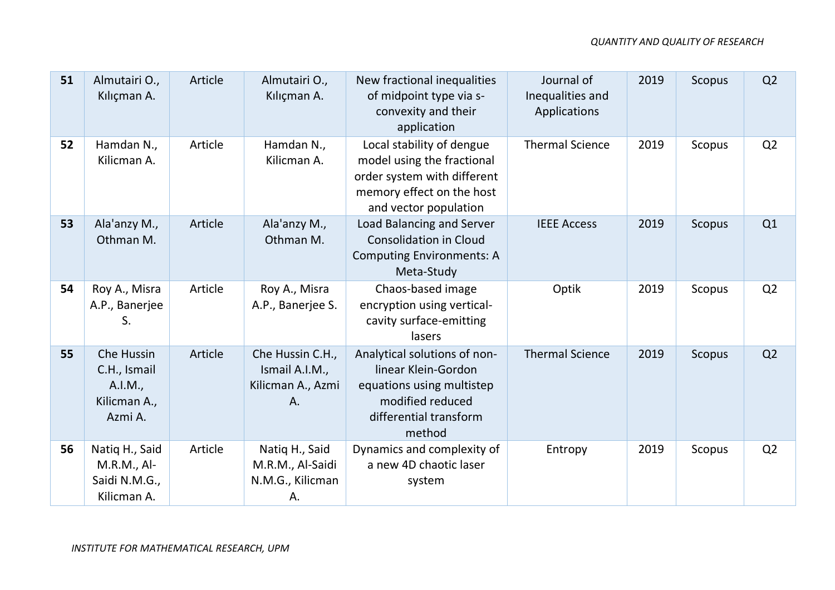| 51 | Almutairi O.,<br>Kılıçman A.                                     | Article | Almutairi O.,<br>Kılıçman A.                                  | New fractional inequalities<br>of midpoint type via s-<br>convexity and their<br>application                                                 | Journal of<br>Inequalities and<br>Applications | 2019 | <b>Scopus</b> | Q <sub>2</sub> |
|----|------------------------------------------------------------------|---------|---------------------------------------------------------------|----------------------------------------------------------------------------------------------------------------------------------------------|------------------------------------------------|------|---------------|----------------|
| 52 | Hamdan N.,<br>Kilicman A.                                        | Article | Hamdan N.,<br>Kilicman A.                                     | Local stability of dengue<br>model using the fractional<br>order system with different<br>memory effect on the host<br>and vector population | <b>Thermal Science</b>                         | 2019 | Scopus        | Q <sub>2</sub> |
| 53 | Ala'anzy M.,<br>Othman M.                                        | Article | Ala'anzy M.,<br>Othman M.                                     | Load Balancing and Server<br><b>Consolidation in Cloud</b><br><b>Computing Environments: A</b><br>Meta-Study                                 | <b>IEEE Access</b>                             | 2019 | Scopus        | Q1             |
| 54 | Roy A., Misra<br>A.P., Banerjee<br>S.                            | Article | Roy A., Misra<br>A.P., Banerjee S.                            | Chaos-based image<br>encryption using vertical-<br>cavity surface-emitting<br>lasers                                                         | Optik                                          | 2019 | Scopus        | Q <sub>2</sub> |
| 55 | Che Hussin<br>C.H., Ismail<br>A.I.M.,<br>Kilicman A.,<br>Azmi A. | Article | Che Hussin C.H.,<br>Ismail A.I.M.,<br>Kilicman A., Azmi<br>Α. | Analytical solutions of non-<br>linear Klein-Gordon<br>equations using multistep<br>modified reduced<br>differential transform<br>method     | <b>Thermal Science</b>                         | 2019 | <b>Scopus</b> | Q <sub>2</sub> |
| 56 | Natiq H., Said<br>M.R.M., Al-<br>Saidi N.M.G.,<br>Kilicman A.    | Article | Natiq H., Said<br>M.R.M., Al-Saidi<br>N.M.G., Kilicman<br>Α.  | Dynamics and complexity of<br>a new 4D chaotic laser<br>system                                                                               | Entropy                                        | 2019 | Scopus        | Q <sub>2</sub> |